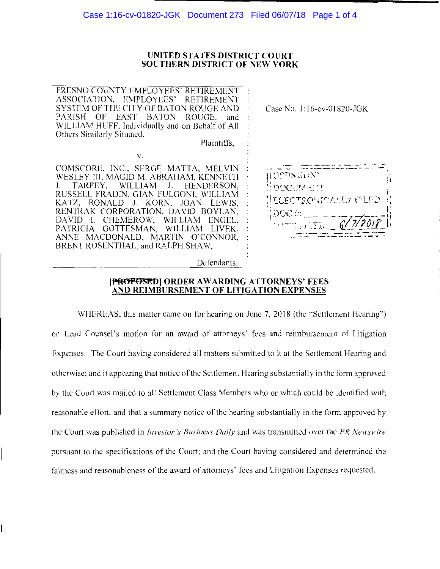### UNITED STATES DISTRICT COURT **SOUTHERN DISTRICT OF NEW YORK**

FRESNO COUNTY EMPLOYEES' RETIREMENT: ASSOCIATION, EMPLOYEES' **RETIREMENT** SYSTEM OF THE CITY OF BATON ROUGE AND PARISH OF EAST BATON ROUGE. and WILLIAM HUFF, Individually and on Behalf of All Others Similarly Situated,

Plaintiffs.

COMSCORE, INC., SERGE MATTA, MELVIN WESLEY III, MAGID M. ABRAHAM, KENNETH TARPEY, WILLIAM J. HENDERSON, J. RUSSELL FRADIN, GIAN FULGONI, WILLIAM KATZ, RONALD J. KORN, JOAN LEWIS, RENTRAK CORPORATION, DAVID BOYLAN, DAVID I. CHEMEROW, WILLIAM ENGEL, PATRICIA GOTTESMAN, WILLIAM LIVEK, ANNE MACDONALD, MARTIN O'CONNOR, BRENT ROSENTHAL, and RALPH SHAW,

 $V.$ 

Case No. 1:16-cv-01820-JGK

H OPPS SDN\* **DOCUMENT** EYECTRONICALLY FILED

Defendants.

### [PROPOSED] ORDER AWARDING ATTORNEYS' FEES AND REIMBURSEMENT OF LITIGATION EXPENSES

WHEREAS, this matter came on for hearing on June 7, 2018 (the "Settlement Hearing") on Lead Counsel's motion for an award of attorneys' fees and reimbursement of Litigation Expenses. The Court having considered all matters submitted to it at the Settlement Hearing and otherwise; and it appearing that notice of the Settlement Hearing substantially in the form approved by the Court was mailed to all Settlement Class Members who or which could be identified with reasonable effort, and that a summary notice of the hearing substantially in the form approved by the Court was published in *Investor's Business Daily* and was transmitted over the PR Newswire pursuant to the specifications of the Court; and the Court having considered and determined the fairness and reasonableness of the award of attorneys' fees and Litigation Expenses requested,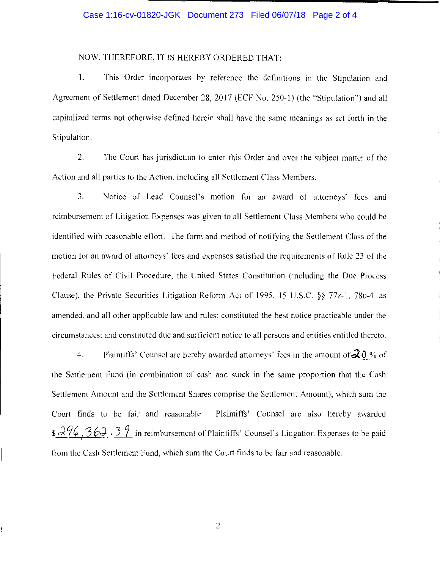### Case 1:16-cv-01820-JGK Document 273 Filed 06/07/18 Page 2 of 4

# NOW, THEREFORE, IT IS HEREBY ORDERED THAT:

1. This Order incorporates by reference the definitions in the Stipulation and Agreement of Settlement dated December 28, 2017 (ECF No. 250-1) (the '"Stipulation") and all capitalized terms not otherwise defined herein shall have the same meanings as set forth in the Stipulation.

2. The Court has jurisdiction to enter this Order and over the subject matter of the Action and all parties to the Action. including all Settlement Class Members.

3. Notice of Lead Counsel's motion for an award of attorneys' fees and reimbursement of Litigation Expenses was given to all Settlement Class Members who could be identified with reasonable effort. The form and method of notifying the Settlement Class of the motion for an award of attorneys' fees and expenses satisfied the requirements of Rule 23 of the Federal Rules of Civil Procedure, the United States Constitution (including the Due Process Clause), the Private Securities Litigation Reform Act of 1995, 15 U.S.C.  $\S$ § 77 $z$ -1, 78 $u$ -4, as amended, and all other applicable law and rules; constituted the best notice practicable under the circumstances; and constituted due and sufficient notice to all persons and entities entitled thereto.

4. Plaintiffs' Counsel are hereby awarded attorneys' fees in the amount of  $20%$  of the Settlement Fund (in combination of cash and stock in the same proportion that the Cash Settlement Amount and the Settlement Shares comprise the Settlement Amount). which sum the Court finds to be fair and reasonable. Plaintiffs' Counsel are also hereby awarded \$  $\frac{296}{362}.3\frac{9}{1}$  in reimbursement of Plaintiffs' Counsel's Litigation Expenses to be paid from the Cash Settlement Fund, which sum the Court finds to be fair and reasonable.

2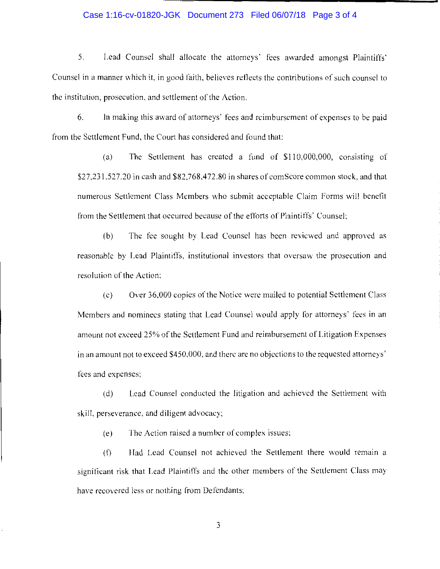## Case 1:16-cv-01820-JGK Document 273 Filed 06/07/18 Page 3 of 4

5. Lead Counsel shall allocate the attorneys· fees awarded amongst Plaintiffs· Counsel in a manner which it, in good faith, believes reflects the contributions of such counsel to the institution, prosecution. and settlement of the Action.

6. In making this award of attorneys' fees and reimbursement of expenses to be paid from the Settlement Fund, the Court has considered and found that:

(a) The Settlement has created a fund of \$110,000,000, consisting of \$27,231,527.20 in cash and \$82.768.472.80 in shares of com Score common stock, and that numerous Settlement Class Members who submit acceptable Claim Forms will benefit from the Settlement that occurred because of the efforts of Plaintiffs' Counsel;

(b) The fee sought by Lead Counsel has been reviewed and approved as reasonable by Lead Plaintiffs, institutional investors that oversaw the prosecution and resolution of the Action;

( c) Over 36,000 copies of the Notice were mailed to potential Settlement Class Members and nominecs stating that Lead Counsel would apply for attorneys' fees in an amount not exceed 25% of the Settlement Fund and reimbursement of Litigation Expenses in an amount not to exceed \$450,000, and there are no objections to the requested attorneys' fees and expenses;

(d) Lead Counsel conducted the litigation and achieved the Settlement with skill, perseverance, and diligent advocacy;

(e) The Action raised a number of complex issues;

(f) Had Lead Counsel not achieved the Settlement there would remain a significant risk that Lead Plaintiffs and the other members of the Settlement Class may have recovered less or nothing from Defendants;

3